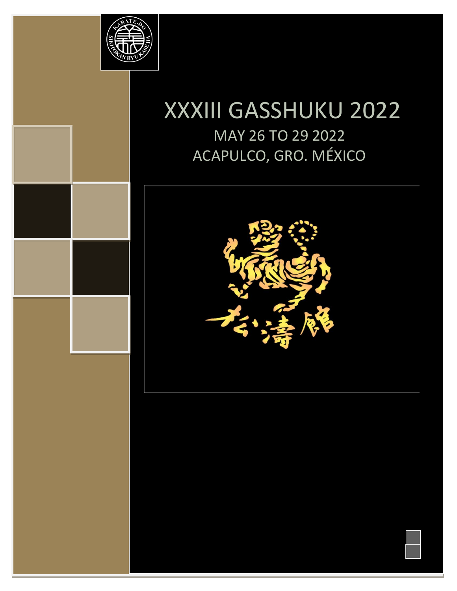

# XXXIII GASSHUKU 2022 MAY 26 TO 29 2022 ACAPULCO, GRO. MÉXICO



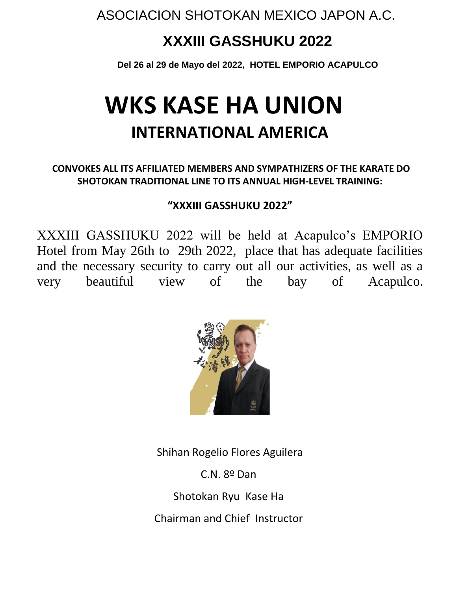# **XXXIII GASSHUKU 2022**

**Del 26 al 29 de Mayo del 2022, HOTEL EMPORIO ACAPULCO** 

# **WKS KASE HA UNION INTERNATIONAL AMERICA**

#### **CONVOKES ALL ITS AFFILIATED MEMBERS AND SYMPATHIZERS OF THE KARATE DO SHOTOKAN TRADITIONAL LINE TO ITS ANNUAL HIGH-LEVEL TRAINING:**

#### **"XXXIII GASSHUKU 2022"**

XXXIII GASSHUKU 2022 will be held at Acapulco's EMPORIO Hotel from May 26th to 29th 2022, place that has adequate facilities and the necessary security to carry out all our activities, as well as a very beautiful view of the bay of Acapulco.



Shihan Rogelio Flores Aguilera

C.N. 8º Dan

Shotokan Ryu Kase Ha

Chairman and Chief Instructor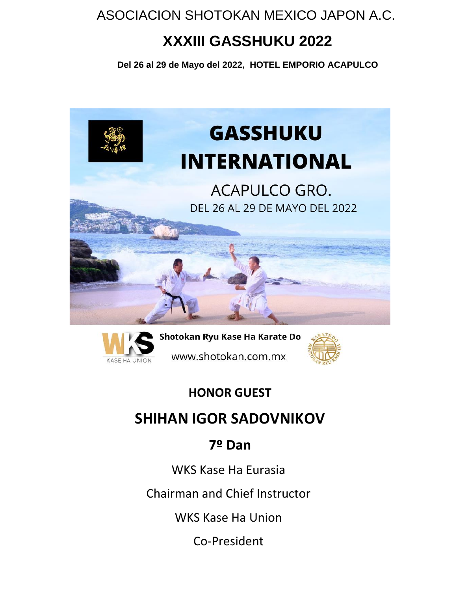# **XXXIII GASSHUKU 2022**

**Del 26 al 29 de Mayo del 2022, HOTEL EMPORIO ACAPULCO** 





Shotokan Ryu Kase Ha Karate Do www.shotokan.com.mx



### **HONOR GUEST**

## **SHIHAN IGOR SADOVNIKOV**

## **7º Dan**

WKS Kase Ha Eurasia

Chairman and Chief Instructor

WKS Kase Ha Union

Co-President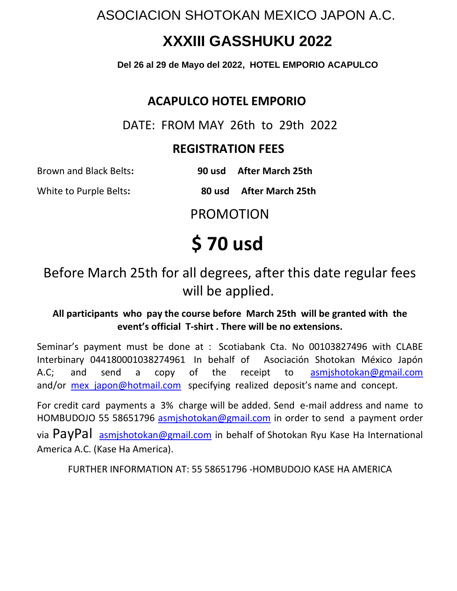# **XXXIII GASSHUKU 2022**

**Del 26 al 29 de Mayo del 2022, HOTEL EMPORIO ACAPULCO** 

### **ACAPULCO HOTEL EMPORIO**

DATE: FROM MAY 26th to 29th 2022

### **REGISTRATION FEES**

Brown and Black Belts**: 90 usd After March 25th** 

White to Purple Belts**: 80 usd After March 25th**

PROMOTION

# **\$ 70 usd**

Before March 25th for all degrees, after this date regular fees will be applied.

#### **All participants who pay the course before March 25th will be granted with the event's official T-shirt . There will be no extensions.**

Seminar's payment must be done at : Scotiabank Cta. No 00103827496 with CLABE Interbinary 044180001038274961 In behalf of Asociación Shotokan México Japón A.C; and send a copy of the receipt to asmishotokan@gmail.com and/or mex japon@hotmail.com specifying realized deposit's name and concept.

For credit card payments a 3% charge will be added. Send e-mail address and name to HOMBUDOJO 55 58651796 [asmjshotokan@gmail.com](mailto:asmjshotokan@gmail.com) in order to send a payment order via PayPal asmishotokan@gmail.com in behalf of Shotokan Ryu Kase Ha International America A.C. (Kase Ha America).

FURTHER INFORMATION AT: 55 58651796 -HOMBUDOJO KASE HA AMERICA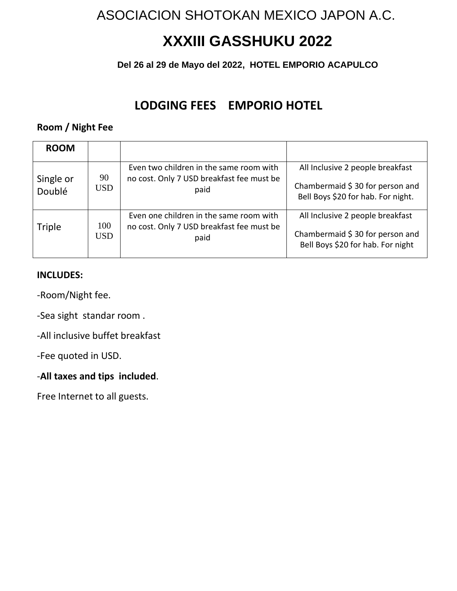# **XXXIII GASSHUKU 2022**

### **Del 26 al 29 de Mayo del 2022, HOTEL EMPORIO ACAPULCO**

### **LODGING FEES EMPORIO HOTEL**

#### **Room / Night Fee**

| <b>ROOM</b>         |             |                                                                                              |                                                                                                           |
|---------------------|-------------|----------------------------------------------------------------------------------------------|-----------------------------------------------------------------------------------------------------------|
| Single or<br>Doublé | 90<br>USD.  | Even two children in the same room with<br>no cost. Only 7 USD breakfast fee must be<br>paid | All Inclusive 2 people breakfast<br>Chambermaid \$30 for person and<br>Bell Boys \$20 for hab. For night. |
| <b>Triple</b>       | 100<br>USD. | Even one children in the same room with<br>no cost. Only 7 USD breakfast fee must be<br>paid | All Inclusive 2 people breakfast<br>Chambermaid \$30 for person and<br>Bell Boys \$20 for hab. For night  |

#### **INCLUDES:**

-Room/Night fee.

-Sea sight standar room .

-All inclusive buffet breakfast

-Fee quoted in USD.

#### -**All taxes and tips included**.

Free Internet to all guests.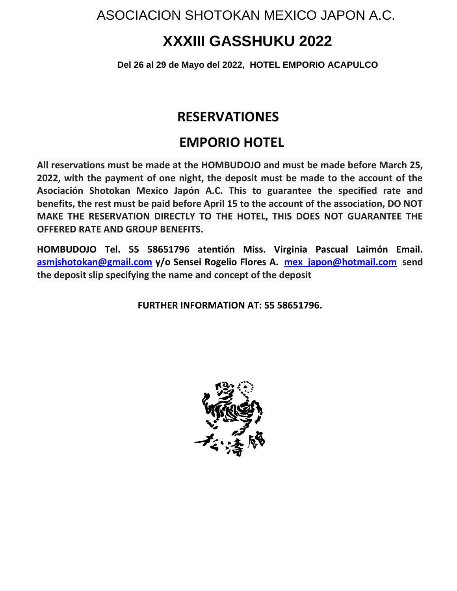# **XXXIII GASSHUKU 2022**

**Del 26 al 29 de Mayo del 2022, HOTEL EMPORIO ACAPULCO** 

### **RESERVATIONES**

### **EMPORIO HOTEL**

**All reservations must be made at the HOMBUDOJO and must be made before March 25, 2022, with the payment of one night, the deposit must be made to the account of the Asociación Shotokan Mexico Japón A.C. This to guarantee the specified rate and benefits, the rest must be paid before April 15 to the account of the association, DO NOT MAKE THE RESERVATION DIRECTLY TO THE HOTEL, THIS DOES NOT GUARANTEE THE OFFERED RATE AND GROUP BENEFITS.**

**HOMBUDOJO Tel. 55 58651796 atentión Miss. Virginia Pascual Laimón Email. [asmjshotokan@gmail.com](mailto:asmjshotokan@gmail.com) y/o Sensei Rogelio Flores A. [mex\\_japon@hotmail.com](mailto:mex_japon@hotmail.com) send the deposit slip specifying the name and concept of the deposit**

**FURTHER INFORMATION AT: 55 58651796.**

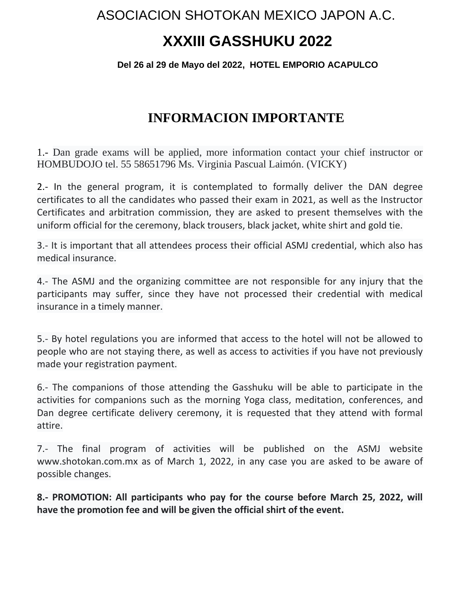# **XXXIII GASSHUKU 2022**

#### **Del 26 al 29 de Mayo del 2022, HOTEL EMPORIO ACAPULCO**

### **INFORMACION IMPORTANTE**

1.- Dan grade exams will be applied, more information contact your chief instructor or HOMBUDOJO tel. 55 58651796 Ms. Virginia Pascual Laimón. (VICKY)

2.- In the general program, it is contemplated to formally deliver the DAN degree certificates to all the candidates who passed their exam in 2021, as well as the Instructor Certificates and arbitration commission, they are asked to present themselves with the uniform official for the ceremony, black trousers, black jacket, white shirt and gold tie.

3.- It is important that all attendees process their official ASMJ credential, which also has medical insurance.

4.- The ASMJ and the organizing committee are not responsible for any injury that the participants may suffer, since they have not processed their credential with medical insurance in a timely manner.

5.- By hotel regulations you are informed that access to the hotel will not be allowed to people who are not staying there, as well as access to activities if you have not previously made your registration payment.

6.- The companions of those attending the Gasshuku will be able to participate in the activities for companions such as the morning Yoga class, meditation, conferences, and Dan degree certificate delivery ceremony, it is requested that they attend with formal attire.

7.- The final program of activities will be published on the ASMJ website www.shotokan.com.mx as of March 1, 2022, in any case you are asked to be aware of possible changes.

**8.- PROMOTION: All participants who pay for the course before March 25, 2022, will have the promotion fee and will be given the official shirt of the event.**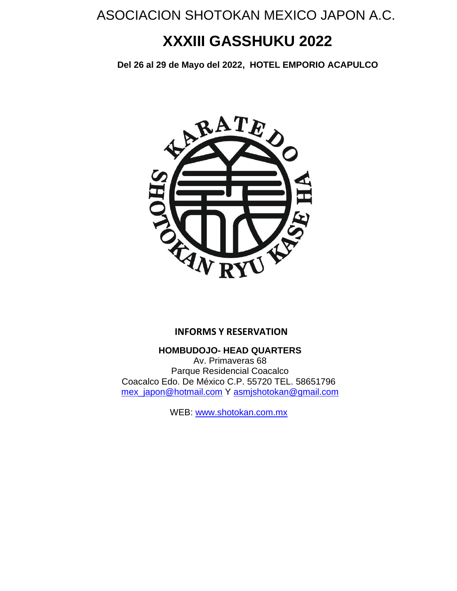# **XXXIII GASSHUKU 2022**

**Del 26 al 29 de Mayo del 2022, HOTEL EMPORIO ACAPULCO** 



#### **INFORMS Y RESERVATION**

**HOMBUDOJO- HEAD QUARTERS**

Av. Primaveras 68 Parque Residencial Coacalco Coacalco Edo. De México C.P. 55720 TEL. 58651796 [mex\\_japon@hotmail.com](mailto:mex_japon@hotmail.com) Y [asmjshotokan@gmail.com](mailto:asmjshotokan@gmail.com)

WEB: [www.shotokan.com.mx](http://www.shotokan.com.mx/)